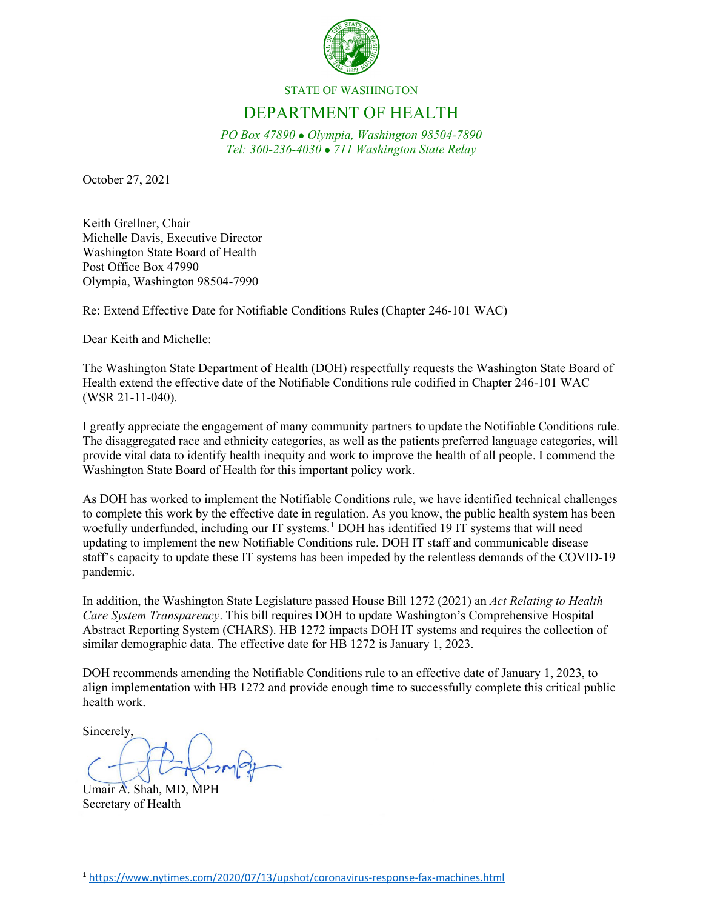

## STATE OF WASHINGTON

## DEPARTMENT OF HEALTH

*PO Box 47890 Olympia, Washington 98504-7890 Tel: 360-236-4030 711 Washington State Relay*

October 27, 2021

Keith Grellner, Chair Michelle Davis, Executive Director Washington State Board of Health Post Office Box 47990 Olympia, Washington 98504-7990

Re: Extend Effective Date for Notifiable Conditions Rules (Chapter 246-101 WAC)

Dear Keith and Michelle:

The Washington State Department of Health (DOH) respectfully requests the Washington State Board of Health extend the effective date of the Notifiable Conditions rule codified in Chapter 246-101 WAC (WSR 21-11-040).

I greatly appreciate the engagement of many community partners to update the Notifiable Conditions rule. The disaggregated race and ethnicity categories, as well as the patients preferred language categories, will provide vital data to identify health inequity and work to improve the health of all people. I commend the Washington State Board of Health for this important policy work.

As DOH has worked to implement the Notifiable Conditions rule, we have identified technical challenges to complete this work by the effective date in regulation. As you know, the public health system has been woefully underfunded, including our IT systems.<sup>[1](#page-0-0)</sup> DOH has identified 19 IT systems that will need updating to implement the new Notifiable Conditions rule. DOH IT staff and communicable disease staff's capacity to update these IT systems has been impeded by the relentless demands of the COVID-19 pandemic.

In addition, the Washington State Legislature passed House Bill 1272 (2021) an *Act Relating to Health Care System Transparency*. This bill requires DOH to update Washington's Comprehensive Hospital Abstract Reporting System (CHARS). HB 1272 impacts DOH IT systems and requires the collection of similar demographic data. The effective date for HB 1272 is January 1, 2023.

DOH recommends amending the Notifiable Conditions rule to an effective date of January 1, 2023, to align implementation with HB 1272 and provide enough time to successfully complete this critical public health work.

Sincerely,

Umair A. Shah, MD, MPH Secretary of Health

<span id="page-0-0"></span><sup>1</sup> <https://www.nytimes.com/2020/07/13/upshot/coronavirus-response-fax-machines.html>